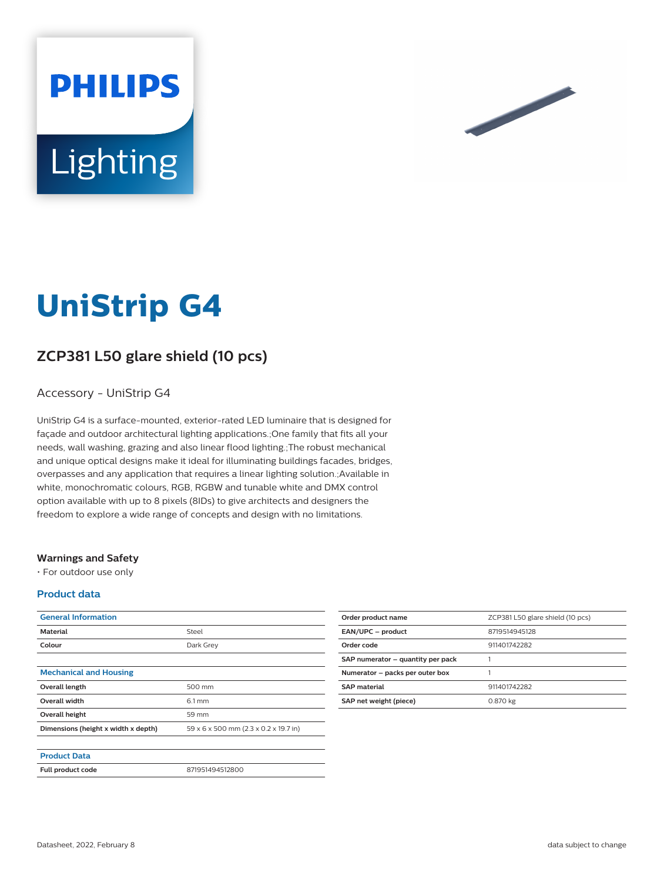



# **UniStrip G4**

# **ZCP381 L50 glare shield (10 pcs)**

### Accessory - UniStrip G4

UniStrip G4 is a surface-mounted, exterior-rated LED luminaire that is designed for façade and outdoor architectural lighting applications.;One family that fits all your needs, wall washing, grazing and also linear flood lighting.;The robust mechanical and unique optical designs make it ideal for illuminating buildings facades, bridges, overpasses and any application that requires a linear lighting solution.;Available in white, monochromatic colours, RGB, RGBW and tunable white and DMX control option available with up to 8 pixels (8IDs) to give architects and designers the freedom to explore a wide range of concepts and design with no limitations.

#### **Warnings and Safety**

• For outdoor use only

#### **Product data**

| <b>General Information</b>          |                                       |
|-------------------------------------|---------------------------------------|
| <b>Material</b>                     | Steel                                 |
| Colour                              | Dark Grey                             |
|                                     |                                       |
| <b>Mechanical and Housing</b>       |                                       |
| Overall length                      | 500 mm                                |
| <b>Overall width</b>                | $6.1 \, \text{mm}$                    |
| Overall height                      | 59 mm                                 |
| Dimensions (height x width x depth) | 59 x 6 x 500 mm (2.3 x 0.2 x 19.7 in) |
|                                     |                                       |
| <b>Product Data</b>                 |                                       |
| Full product code                   | 871951494512800                       |

| Order product name                | ZCP381 L50 glare shield (10 pcs) |
|-----------------------------------|----------------------------------|
| EAN/UPC - product                 | 8719514945128                    |
| Order code                        | 911401742282                     |
| SAP numerator - quantity per pack |                                  |
| Numerator - packs per outer box   |                                  |
| <b>SAP</b> material               | 911401742282                     |
| SAP net weight (piece)            | 0.870 kg                         |
|                                   |                                  |